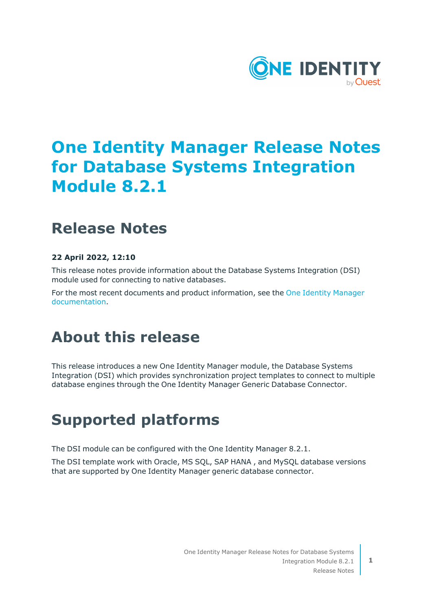

# **One Identity Manager Release Notes for Database Systems Integration Module 8.2.1**

## **Release Notes**

### **22 April 2022, 12:10**

This release notes provide information about the Database Systems Integration (DSI) module used for connecting to native databases.

For the most recent documents and product information, see the One Identity [Manager](https://support.oneidentity.com/identity-manager/8.1.5/technical-documents) [documentation](https://support.oneidentity.com/identity-manager/8.1.5/technical-documents).

## **About this release**

This release introduces a new One Identity Manager module, the Database Systems Integration (DSI) which provides synchronization project templates to connect to multiple database engines through the One Identity Manager Generic Database Connector.

## **Supported platforms**

The DSI module can be configured with the One Identity Manager 8.2.1.

The DSI template work with Oracle, MS SQL, SAP HANA , and MySQL database versions that are supported by One Identity Manager generic database connector.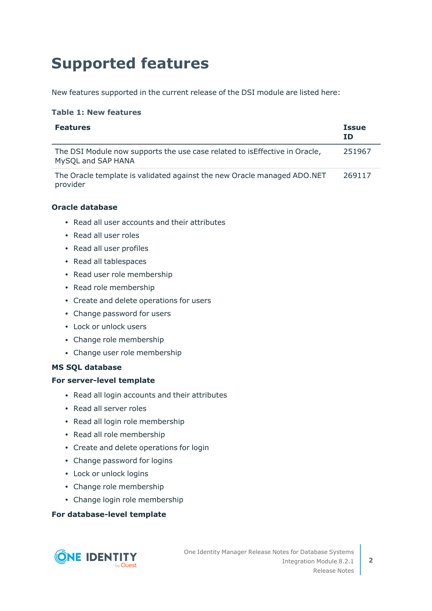# **Supported features**

New features supported in the current release of the DSI module are listed here:

#### **Table 1: New features**

| <b>Features</b>                                                                                  | <b>Issue</b><br>ΙD |
|--------------------------------------------------------------------------------------------------|--------------------|
| The DSI Module now supports the use case related to iseffective in Oracle,<br>MySQL and SAP HANA | 251967             |
| The Oracle template is validated against the new Oracle managed ADO.NET<br>provider              | 269117             |

### **Oracle database**

- Read all user accounts and their attributes
- Read all user roles
- Read all user profiles
- Read all tablespaces
- Read user role membership
- Read role membership
- Create and delete operations for users
- Change password for users
- Lock or unlock users
- Change role membership
- Change user role membership

### **MS SQL database**

#### **For server-level template**

- Read all login accounts and their attributes
- Read all server roles
- Read all login role membership
- Read all role membership
- Create and delete operations for login
- Change password for logins
- Lock or unlock logins
- Change role membership
- Change login role membership

### **For database-level template**

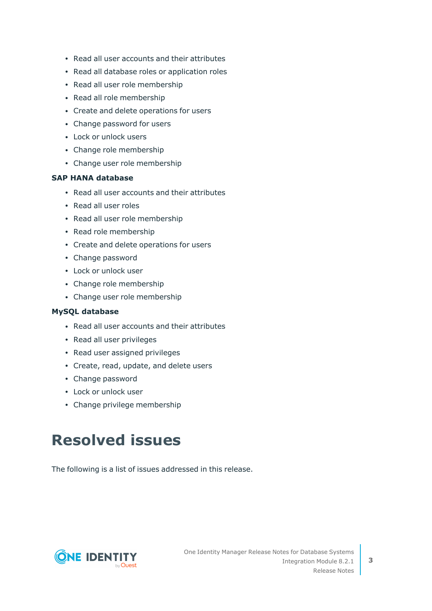- Read all user accounts and their attributes
- Read all database roles or application roles
- Read all user role membership
- Read all role membership
- Create and delete operations for users
- Change password for users
- Lock or unlock users
- Change role membership
- Change user role membership

#### **SAP HANA database**

- Read all user accounts and their attributes
- Read all user roles
- Read all user role membership
- Read role membership
- Create and delete operations for users
- Change password
- Lock or unlock user
- Change role membership
- Change user role membership

#### **MySQL database**

- Read all user accounts and their attributes
- Read all user privileges
- Read user assigned privileges
- Create, read, update, and delete users
- Change password
- Lock or unlock user
- Change privilege membership

## **Resolved issues**

The following is a list of issues addressed in this release.

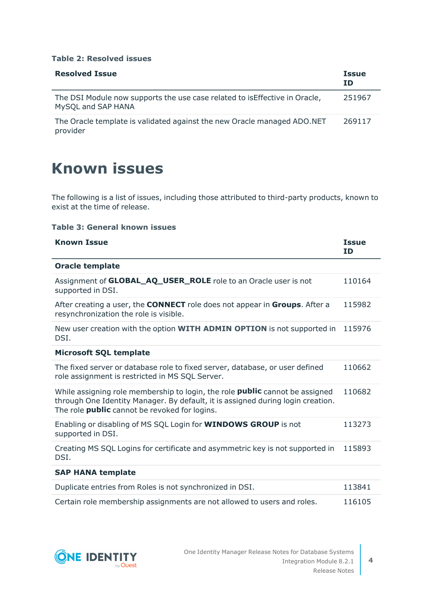### **Table 2: Resolved issues**

| <b>Resolved Issue</b>                                                                            | <b>Issue</b><br>ΙD |
|--------------------------------------------------------------------------------------------------|--------------------|
| The DSI Module now supports the use case related to iseffective in Oracle,<br>MySQL and SAP HANA | 251967             |
| The Oracle template is validated against the new Oracle managed ADO.NET<br>provider              | 269117             |

## **Known issues**

The following is a list of issues, including those attributed to third-party products, known to exist at the time of release.

### **Table 3: General known issues**

| <b>Known Issue</b>                                                                                                                                                                                                      | <b>Issue</b><br><b>ID</b> |
|-------------------------------------------------------------------------------------------------------------------------------------------------------------------------------------------------------------------------|---------------------------|
| <b>Oracle template</b>                                                                                                                                                                                                  |                           |
| Assignment of <b>GLOBAL_AQ_USER_ROLE</b> role to an Oracle user is not<br>supported in DSI.                                                                                                                             | 110164                    |
| After creating a user, the <b>CONNECT</b> role does not appear in <b>Groups</b> . After a<br>resynchronization the role is visible.                                                                                     | 115982                    |
| New user creation with the option WITH ADMIN OPTION is not supported in<br>DSI.                                                                                                                                         | 115976                    |
| <b>Microsoft SQL template</b>                                                                                                                                                                                           |                           |
| The fixed server or database role to fixed server, database, or user defined<br>role assignment is restricted in MS SQL Server.                                                                                         | 110662                    |
| While assigning role membership to login, the role <b>public</b> cannot be assigned<br>through One Identity Manager. By default, it is assigned during login creation.<br>The role public cannot be revoked for logins. | 110682                    |
| Enabling or disabling of MS SQL Login for <b>WINDOWS GROUP</b> is not<br>supported in DSI.                                                                                                                              | 113273                    |
| Creating MS SQL Logins for certificate and asymmetric key is not supported in<br>DSI.                                                                                                                                   | 115893                    |
| <b>SAP HANA template</b>                                                                                                                                                                                                |                           |
| Duplicate entries from Roles is not synchronized in DSI.                                                                                                                                                                | 113841                    |
| Certain role membership assignments are not allowed to users and roles.                                                                                                                                                 | 116105                    |

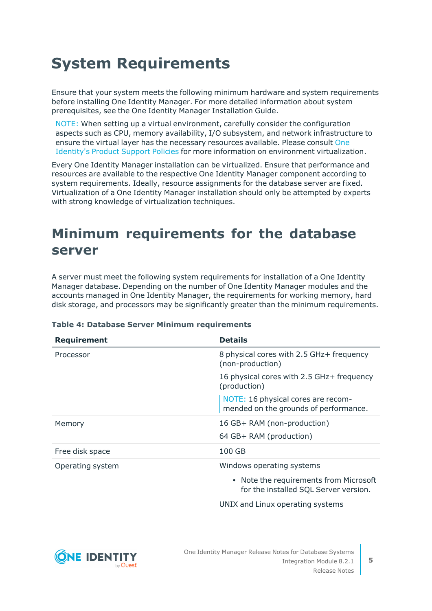# **System Requirements**

Ensure that your system meets the following minimum hardware and system requirements before installing One Identity Manager. For more detailed information about system prerequisites, see the One Identity Manager Installation Guide.

NOTE: When setting up a virtual environment, carefully consider the configuration aspects such as CPU, memory availability, I/O subsystem, and network infrastructure to ensure the virtual layer has the necessary resources available. Please consult [One](https://support.oneidentity.com/essentials/support-guide#tab3) [Identity's](https://support.oneidentity.com/essentials/support-guide#tab3) Product Support Policies for more information on environment virtualization.

Every One Identity Manager installation can be virtualized. Ensure that performance and resources are available to the respective One Identity Manager component according to system requirements. Ideally, resource assignments for the database server are fixed. Virtualization of a One Identity Manager installation should only be attempted by experts with strong knowledge of virtualization techniques.

## **Minimum requirements for the database server**

A server must meet the following system requirements for installation of a One Identity Manager database. Depending on the number of One Identity Manager modules and the accounts managed in One Identity Manager, the requirements for working memory, hard disk storage, and processors may be significantly greater than the minimum requirements.

| <b>Requirement</b> | <b>Details</b>                                                                  |
|--------------------|---------------------------------------------------------------------------------|
| Processor          | 8 physical cores with 2.5 GHz+ frequency<br>(non-production)                    |
|                    | 16 physical cores with 2.5 GHz + frequency<br>(production)                      |
|                    | NOTE: 16 physical cores are recom-<br>mended on the grounds of performance.     |
| Memory             | 16 GB+ RAM (non-production)                                                     |
|                    | 64 GB+ RAM (production)                                                         |
| Free disk space    | 100 GB                                                                          |
| Operating system   | Windows operating systems                                                       |
|                    | • Note the requirements from Microsoft<br>for the installed SQL Server version. |
|                    | UNIX and Linux operating systems                                                |

### **Table 4: Database Server Minimum requirements**

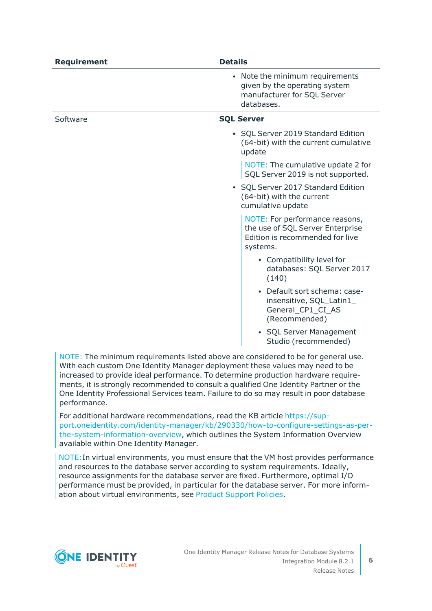| <b>Requirement</b> | <b>Details</b>                                                                                                    |
|--------------------|-------------------------------------------------------------------------------------------------------------------|
|                    | • Note the minimum requirements<br>given by the operating system<br>manufacturer for SQL Server<br>databases.     |
| Software           | <b>SQL Server</b>                                                                                                 |
|                    | • SQL Server 2019 Standard Edition<br>(64-bit) with the current cumulative<br>update                              |
|                    | NOTE: The cumulative update 2 for<br>SQL Server 2019 is not supported.                                            |
|                    | • SQL Server 2017 Standard Edition<br>(64-bit) with the current<br>cumulative update                              |
|                    | NOTE: For performance reasons,<br>the use of SQL Server Enterprise<br>Edition is recommended for live<br>systems. |
|                    | • Compatibility level for<br>databases: SQL Server 2017<br>(140)                                                  |
|                    | • Default sort schema: case-<br>insensitive, SQL_Latin1_<br>General_CP1_CI_AS<br>(Recommended)                    |
|                    | • SQL Server Management<br>Studio (recommended)                                                                   |

NOTE: The minimum requirements listed above are considered to be for general use. With each custom One Identity Manager deployment these values may need to be increased to provide ideal performance. To determine production hardware requirements, it is strongly recommended to consult a qualified One Identity Partner or the One Identity Professional Services team. Failure to do so may result in poor database performance.

For additional hardware recommendations, read the KB article [https://sup](https://sup-port.oneidentity.com/identity-manager/kb/290330/how-to-configure-settings-as-per-the-system-information-overview)[port.oneidentity.com/identity-manager/kb/290330/how-to-configure-settings-as-per](https://sup-port.oneidentity.com/identity-manager/kb/290330/how-to-configure-settings-as-per-the-system-information-overview)[the-system-information-overview](https://sup-port.oneidentity.com/identity-manager/kb/290330/how-to-configure-settings-as-per-the-system-information-overview), which outlines the System Information Overview available within One Identity Manager.

NOTE:In virtual environments, you must ensure that the VM host provides performance and resources to the database server according to system requirements. Ideally, resource assignments for the database server are fixed. Furthermore, optimal I/O performance must be provided, in particular for the database server. For more information about virtual environments, see Product [Support](https://support.oneidentity.com/essentials/support-guide) Policies.

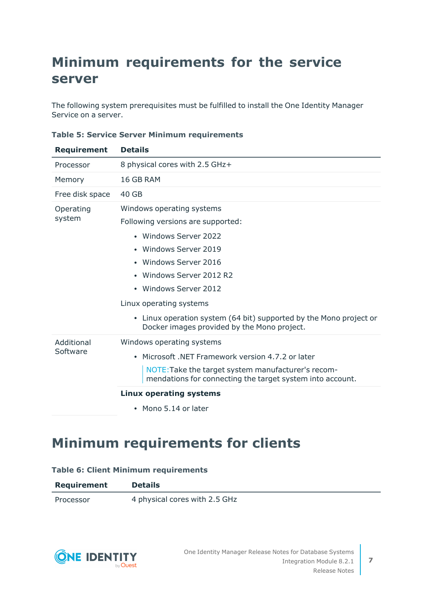## **Minimum requirements for the service server**

The following system prerequisites must be fulfilled to install the One Identity Manager Service on a server.

| <b>Requirement</b>     | <b>Details</b>                                                                                                                                                                                                                                                                                                                                 |
|------------------------|------------------------------------------------------------------------------------------------------------------------------------------------------------------------------------------------------------------------------------------------------------------------------------------------------------------------------------------------|
| Processor              | 8 physical cores with 2.5 GHz+                                                                                                                                                                                                                                                                                                                 |
| Memory                 | 16 GB RAM                                                                                                                                                                                                                                                                                                                                      |
| Free disk space        | 40 GB                                                                                                                                                                                                                                                                                                                                          |
| Operating<br>system    | Windows operating systems<br>Following versions are supported:<br>• Windows Server 2022<br>• Windows Server 2019<br>• Windows Server 2016<br>• Windows Server 2012 R2<br>• Windows Server 2012<br>Linux operating systems<br>• Linux operation system (64 bit) supported by the Mono project or<br>Docker images provided by the Mono project. |
| Additional<br>Software | Windows operating systems<br>Microsoft .NET Framework version 4.7.2 or later<br>NOTE: Take the target system manufacturer's recom-<br>mendations for connecting the target system into account.<br><b>Linux operating systems</b><br>• Mono 5.14 or later                                                                                      |

### **Table 5: Service Server Minimum requirements**

### **Minimum requirements for clients**

#### **Table 6: Client Minimum requirements**

| Requirement | <b>Details</b>                |
|-------------|-------------------------------|
| Processor   | 4 physical cores with 2.5 GHz |

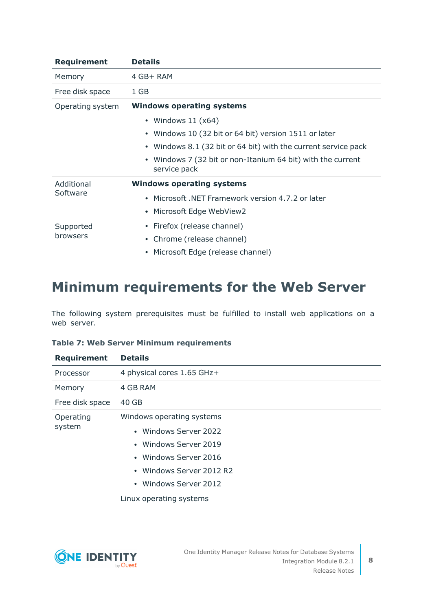| <b>Requirement</b>     | <b>Details</b>                                                                         |
|------------------------|----------------------------------------------------------------------------------------|
| Memory                 | 4 GB+ RAM                                                                              |
| Free disk space        | 1 GB                                                                                   |
| Operating system       | <b>Windows operating systems</b>                                                       |
|                        | • Windows $11(x64)$                                                                    |
|                        | • Windows 10 (32 bit or 64 bit) version 1511 or later                                  |
|                        | Windows 8.1 (32 bit or 64 bit) with the current service pack<br>$\bullet$              |
|                        | Windows 7 (32 bit or non-Itanium 64 bit) with the current<br>$\bullet$<br>service pack |
| Additional<br>Software | <b>Windows operating systems</b>                                                       |
|                        | Microsoft .NET Framework version 4.7.2 or later<br>$\bullet$                           |
|                        | Microsoft Edge WebView2<br>$\bullet$                                                   |
| Supported              | • Firefox (release channel)                                                            |
| browsers               | Chrome (release channel)<br>$\bullet$                                                  |
|                        | Microsoft Edge (release channel)<br>$\bullet$                                          |

## **Minimum requirements for the Web Server**

The following system prerequisites must be fulfilled to install web applications on a web server.

| <b>Requirement</b>  | <b>Details</b>                                                                                                                                                                       |
|---------------------|--------------------------------------------------------------------------------------------------------------------------------------------------------------------------------------|
| Processor           | 4 physical cores 1.65 GHz+                                                                                                                                                           |
| Memory              | 4 GB RAM                                                                                                                                                                             |
| Free disk space     | 40 GB                                                                                                                                                                                |
| Operating<br>system | Windows operating systems<br>• Windows Server 2022<br>• Windows Server 2019<br>• Windows Server 2016<br>• Windows Server 2012 R2<br>• Windows Server 2012<br>Linux operating systems |

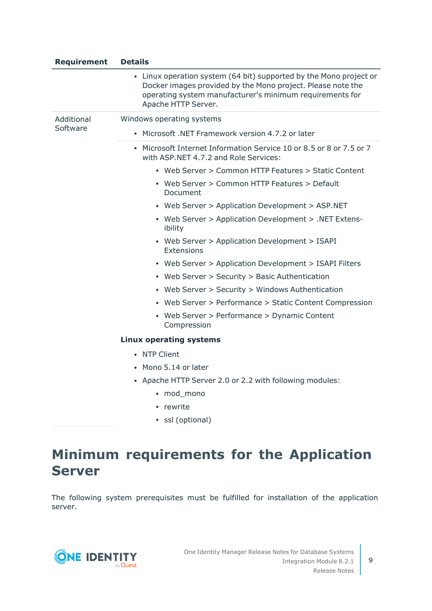| <b>Requirement</b> | <b>Details</b>                                                                                                                                                                                                       |
|--------------------|----------------------------------------------------------------------------------------------------------------------------------------------------------------------------------------------------------------------|
|                    | • Linux operation system (64 bit) supported by the Mono project or<br>Docker images provided by the Mono project. Please note the<br>operating system manufacturer's minimum requirements for<br>Apache HTTP Server. |
| Additional         | Windows operating systems                                                                                                                                                                                            |
| Software           | • Microsoft .NET Framework version 4.7.2 or later                                                                                                                                                                    |
|                    | • Microsoft Internet Information Service 10 or 8.5 or 8 or 7.5 or 7<br>with ASP.NET 4.7.2 and Role Services:                                                                                                         |
|                    | • Web Server > Common HTTP Features > Static Content                                                                                                                                                                 |
|                    | • Web Server > Common HTTP Features > Default<br><b>Document</b>                                                                                                                                                     |
|                    | • Web Server > Application Development > ASP.NET                                                                                                                                                                     |
|                    | • Web Server > Application Development > .NET Extens-<br>ibility                                                                                                                                                     |
|                    | • Web Server > Application Development > ISAPI<br>Extensions                                                                                                                                                         |
|                    | • Web Server > Application Development > ISAPI Filters                                                                                                                                                               |
|                    | • Web Server > Security > Basic Authentication                                                                                                                                                                       |
|                    | • Web Server > Security > Windows Authentication                                                                                                                                                                     |
|                    | • Web Server > Performance > Static Content Compression                                                                                                                                                              |
|                    | • Web Server > Performance > Dynamic Content<br>Compression                                                                                                                                                          |
|                    | <b>Linux operating systems</b>                                                                                                                                                                                       |
|                    | • NTP Client                                                                                                                                                                                                         |
|                    | • Mono 5.14 or later                                                                                                                                                                                                 |
|                    | • Apache HTTP Server 2.0 or 2.2 with following modules:                                                                                                                                                              |
|                    | mod mono<br>$\bullet$                                                                                                                                                                                                |
|                    | • rewrite                                                                                                                                                                                                            |
|                    |                                                                                                                                                                                                                      |

• ssl (optional)

### **Minimum requirements for the Application Server**

The following system prerequisites must be fulfilled for installation of the application server.

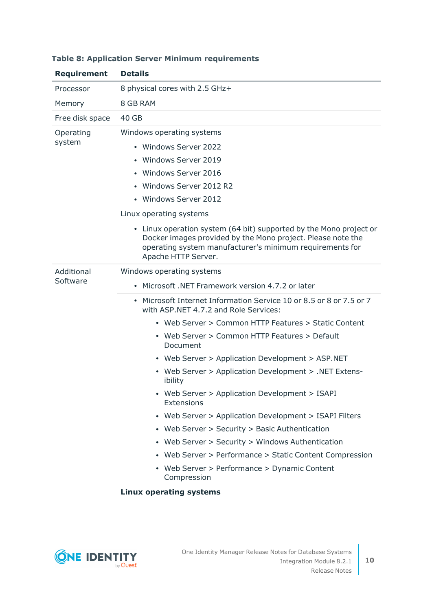| <b>Requirement</b>  | <b>Details</b>                                                                                                                                                                                                       |
|---------------------|----------------------------------------------------------------------------------------------------------------------------------------------------------------------------------------------------------------------|
| Processor           | 8 physical cores with 2.5 GHz+                                                                                                                                                                                       |
| Memory              | 8 GB RAM                                                                                                                                                                                                             |
| Free disk space     | 40 GB                                                                                                                                                                                                                |
| Operating<br>system | Windows operating systems                                                                                                                                                                                            |
|                     | • Windows Server 2022                                                                                                                                                                                                |
|                     | • Windows Server 2019                                                                                                                                                                                                |
|                     | • Windows Server 2016                                                                                                                                                                                                |
|                     | • Windows Server 2012 R2                                                                                                                                                                                             |
|                     | • Windows Server 2012                                                                                                                                                                                                |
|                     | Linux operating systems                                                                                                                                                                                              |
|                     | • Linux operation system (64 bit) supported by the Mono project or<br>Docker images provided by the Mono project. Please note the<br>operating system manufacturer's minimum requirements for<br>Apache HTTP Server. |
| Additional          | Windows operating systems                                                                                                                                                                                            |
| Software            | • Microsoft .NET Framework version 4.7.2 or later                                                                                                                                                                    |
|                     | Microsoft Internet Information Service 10 or 8.5 or 8 or 7.5 or 7<br>with ASP.NET 4.7.2 and Role Services:                                                                                                           |
|                     | • Web Server > Common HTTP Features > Static Content                                                                                                                                                                 |
|                     | • Web Server > Common HTTP Features > Default<br>Document                                                                                                                                                            |
|                     | • Web Server > Application Development > ASP.NET                                                                                                                                                                     |
|                     | • Web Server > Application Development > .NET Extens-<br>ibility                                                                                                                                                     |
|                     | • Web Server > Application Development > ISAPI<br>Extensions                                                                                                                                                         |
|                     | • Web Server > Application Development > ISAPI Filters                                                                                                                                                               |
|                     | • Web Server > Security > Basic Authentication                                                                                                                                                                       |
|                     | • Web Server > Security > Windows Authentication                                                                                                                                                                     |
|                     | • Web Server > Performance > Static Content Compression                                                                                                                                                              |
|                     | • Web Server > Performance > Dynamic Content<br>Compression                                                                                                                                                          |
|                     | <b>Linux operating systems</b>                                                                                                                                                                                       |

### **Table 8: Application Server Minimum requirements**

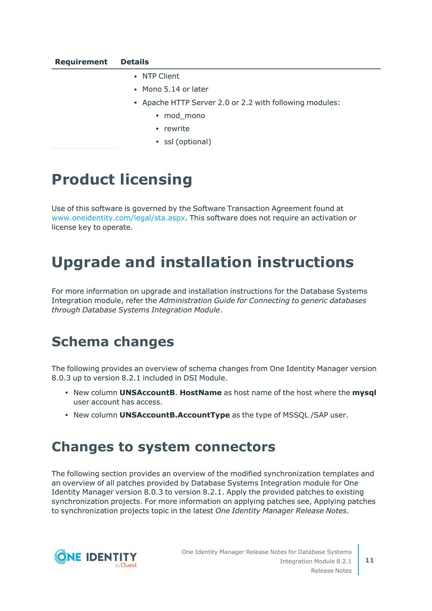- NTP Client
- Mono 5.14 or later
- Apache HTTP Server 2.0 or 2.2 with following modules:
	- mod mono
	- rewrite
	- ssl (optional)

## **Product licensing**

Use of this software is governed by the Software Transaction Agreement found at [www.oneidentity.com/legal/sta.aspx](http://www.oneidentity.com/legal/sta.aspx). This software does not require an activation or license key to operate.

## **Upgrade and installation instructions**

For more information on upgrade and installation instructions for the Database Systems Integration module, refer the *Administration Guide for Connecting to generic databases through Database Systems Integration Module*.

### **Schema changes**

The following provides an overview of schema changes from One Identity Manager version 8.0.3 up to version 8.2.1 included in DSI Module.

- **New column UNSAccountB. HostName** as host name of the host where the **mysql** user account has access.
- New column **UNSAccountB.AccountType** as the type of MSSQL /SAP user.

### **Changes to system connectors**

The following section provides an overview of the modified synchronization templates and an overview of all patches provided by Database Systems Integration module for One Identity Manager version 8.0.3 to version 8.2.1. Apply the provided patches to existing synchronization projects. For more information on applying patches see, Applying patches to synchronization projects topic in the latest *One Identity Manager Release Notes*.

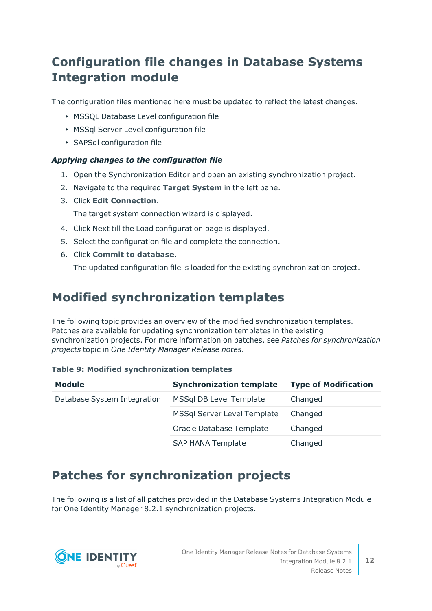### **Configuration file changes in Database Systems Integration module**

The configuration files mentioned here must be updated to reflect the latest changes.

- MSSQL Database Level configuration file
- MSSql Server Level configuration file
- SAPSql configuration file

### *Applying changes to the configuration file*

- 1. Open the Synchronization Editor and open an existing synchronization project.
- 2. Navigate to the required **Target System** in the left pane.
- 3. Click **Edit Connection**.

The target system connection wizard is displayed.

- 4. Click Next till the Load configuration page is displayed.
- 5. Select the configuration file and complete the connection.
- 6. Click **Commit to database**.

The updated configuration file is loaded for the existing synchronization project.

### **Modified synchronization templates**

The following topic provides an overview of the modified synchronization templates. Patches are available for updating synchronization templates in the existing synchronization projects. For more information on patches, see *Patches for synchronization projects* topic in *One Identity Manager Release notes*.

### **Table 9: Modified synchronization templates**

| <b>Module</b>               | <b>Synchronization template</b>    | <b>Type of Modification</b> |
|-----------------------------|------------------------------------|-----------------------------|
| Database System Integration | MSSql DB Level Template            | Changed                     |
|                             | <b>MSSql Server Level Template</b> | Changed                     |
|                             | Oracle Database Template           | Changed                     |
|                             | <b>SAP HANA Template</b>           | Changed                     |

### **Patches for synchronization projects**

The following is a list of all patches provided in the Database Systems Integration Module for One Identity Manager 8.2.1 synchronization projects.

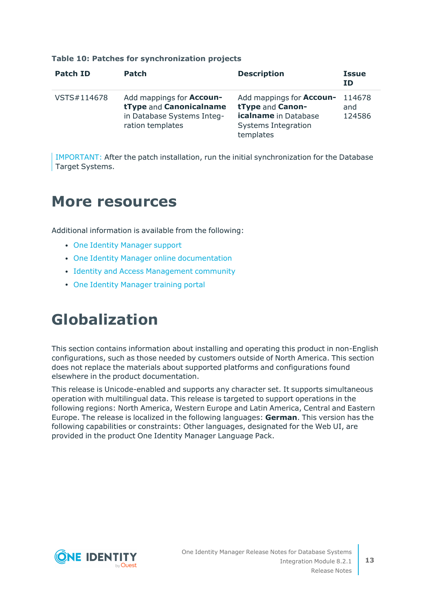| <b>Patch ID</b> | <b>Patch</b>                                                                                                 | <b>Description</b>                                                                                              | <b>Issue</b><br>ΙD      |
|-----------------|--------------------------------------------------------------------------------------------------------------|-----------------------------------------------------------------------------------------------------------------|-------------------------|
| VSTS#114678     | Add mappings for <b>Accoun-</b><br>tType and Canonicalname<br>in Database Systems Integ-<br>ration templates | Add mappings for <b>Accoun-</b><br>tType and Canon-<br>icalname in Database<br>Systems Integration<br>templates | 114678<br>and<br>124586 |

#### **Table 10: Patches for synchronization projects**

IMPORTANT: After the patch installation, run the initial synchronization for the Database Target Systems.

### **More resources**

Additional information is available from the following:

- One Identity [Manager](https://support.oneidentity.com/identity-manager/) support
- One Identity Manager online [documentation](https://support.oneidentity.com/identity-manager/technical-documents/)
- Identity and Access [Management](https://www.quest.com/community/one-identity/identity-manager/f/identity-manager-forum) community
- One Identity [Manager](https://support.oneidentity.com/identity-manager/training) training portal

## **Globalization**

This section contains information about installing and operating this product in non-English configurations, such as those needed by customers outside of North America. This section does not replace the materials about supported platforms and configurations found elsewhere in the product documentation.

This release is Unicode-enabled and supports any character set. It supports simultaneous operation with multilingual data. This release is targeted to support operations in the following regions: North America, Western Europe and Latin America, Central and Eastern Europe. The release is localized in the following languages: **German**. This version has the following capabilities or constraints: Other languages, designated for the Web UI, are provided in the product One Identity Manager Language Pack.

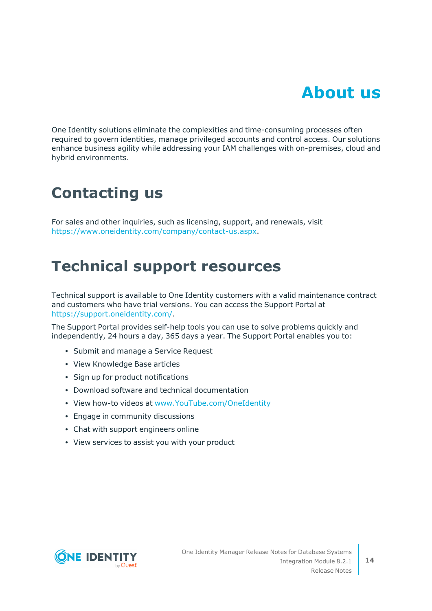# **About us**

One Identity solutions eliminate the complexities and time-consuming processes often required to govern identities, manage privileged accounts and control access. Our solutions enhance business agility while addressing your IAM challenges with on-premises, cloud and hybrid environments.

## **Contacting us**

For sales and other inquiries, such as licensing, support, and renewals, visit [https://www.oneidentity.com/company/contact-us.aspx.](https://www.oneidentity.com/company/contact-us.aspx)

## **Technical support resources**

Technical support is available to One Identity customers with a valid maintenance contract and customers who have trial versions. You can access the Support Portal at [https://support.oneidentity.com/.](https://support.oneidentity.com/)

The Support Portal provides self-help tools you can use to solve problems quickly and independently, 24 hours a day, 365 days a year. The Support Portal enables you to:

- Submit and manage a Service Request
- View Knowledge Base articles
- Sign up for product notifications
- Download software and technical documentation
- View how-to videos at [www.YouTube.com/OneIdentity](http://www.youtube.com/OneIdentity)
- Engage in community discussions
- Chat with support engineers online
- View services to assist you with your product